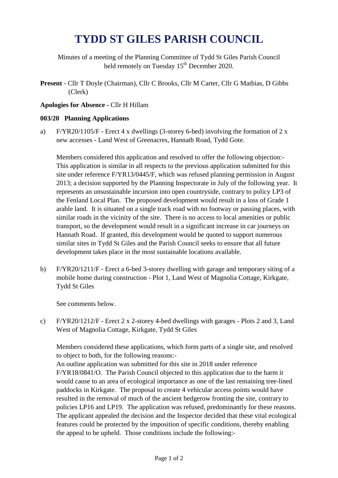## **TYDD ST GILES PARISH COUNCIL**

Minutes of a meeting of the Planning Committee of Tydd St Giles Parish Council held remotely on Tuesday 15<sup>th</sup> December 2020.

**Present** - Cllr T Doyle (Chairman), Cllr C Brooks, Cllr M Carter, Cllr G Mathias, D Gibbs (Clerk)

## **Apologies for Absence -** Cllr H Hillam

## **003/20 Planning Applications**

a) F/YR20/1105/F - Erect 4 x dwellings (3-storey 6-bed) involving the formation of 2 x new accesses - Land West of Greenacres, Hannath Road, Tydd Gote.

Members considered this application and resolved to offer the following objection:- This application is similar in all respects to the previous application submitted for this site under reference F/YR13/0445/F, which was refused planning permission in August 2013; a decision supported by the Planning Inspectorate in July of the following year. It represents an unsustainable incursion into open countryside, contrary to policy LP3 of the Fenland Local Plan. The proposed development would result in a loss of Grade 1 arable land. It is situated on a single track road with no footway or passing places, with similar roads in the vicinity of the site. There is no access to local amenities or public transport, so the development would result in a significant increase in car journeys on Hannath Road. If granted, this development would be quoted to support numerous similar sites in Tydd St Giles and the Parish Council seeks to ensure that all future development takes place in the most sustainable locations available.

b) F/YR20/1211/F - Erect a 6-bed 3-storey dwelling with garage and temporary siting of a mobile home during construction - Plot 1, Land West of Magnolia Cottage, Kirkgate, Tydd St Giles

See comments below.

c) F/YR20/1212/F - Erect 2 x 2-storey 4-bed dwellings with garages - Plots 2 and 3, Land West of Magnolia Cottage, Kirkgate, Tydd St Giles

Members considered these applications, which form parts of a single site, and resolved to object to both, for the following reasons:-

An outline application was submitted for this site in 2018 under reference F/YR18/0841/O. The Parish Council objected to this application due to the harm it would cause to an area of ecological importance as one of the last remaining tree-lined paddocks in Kirkgate. The proposal to create 4 vehicular access points would have resulted in the removal of much of the ancient hedgerow fronting the site, contrary to policies LP16 and LP19. The application was refused, predominantly for these reasons. The applicant appealed the decision and the Inspector decided that these vital ecological features could be protected by the imposition of specific conditions, thereby enabling the appeal to be upheld. Those conditions include the following:-